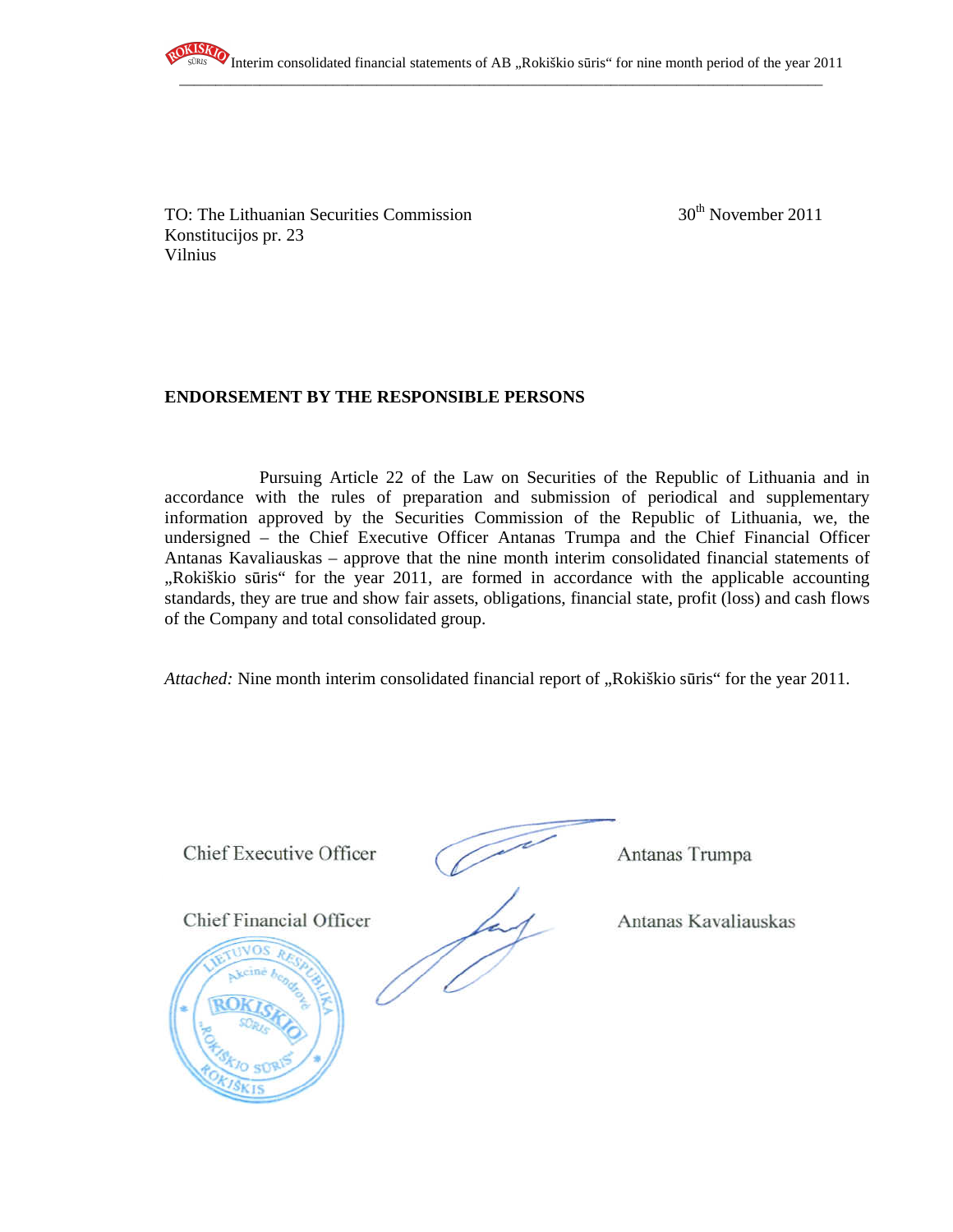

TO: The Lithuanian Securities Commission  $30<sup>th</sup>$  November 2011 Konstitucijos pr. 23 Vilnius

## **ENDORSEMENT BY THE RESPONSIBLE PERSONS**

Pursuing Article 22 of the Law on Securities of the Republic of Lithuania and in accordance with the rules of preparation and submission of periodical and supplementary information approved by the Securities Commission of the Republic of Lithuania, we, the undersigned – the Chief Executive Officer Antanas Trumpa and the Chief Financial Officer Antanas Kavaliauskas – approve that the nine month interim consolidated financial statements of "Rokiškio sūris" for the year 2011, are formed in accordance with the applicable accounting standards, they are true and show fair assets, obligations, financial state, profit (loss) and cash flows of the Company and total consolidated group.

*Attached:* Nine month interim consolidated financial report of "Rokiškio sūris" for the year 2011.

**Chief Executive Officer** 

Chief Executive Officer Antanas Trumpa

Chief Financial Officer Antanas Kavaliauskas

Antanas Trumpa

Antanas Kavaliauskas

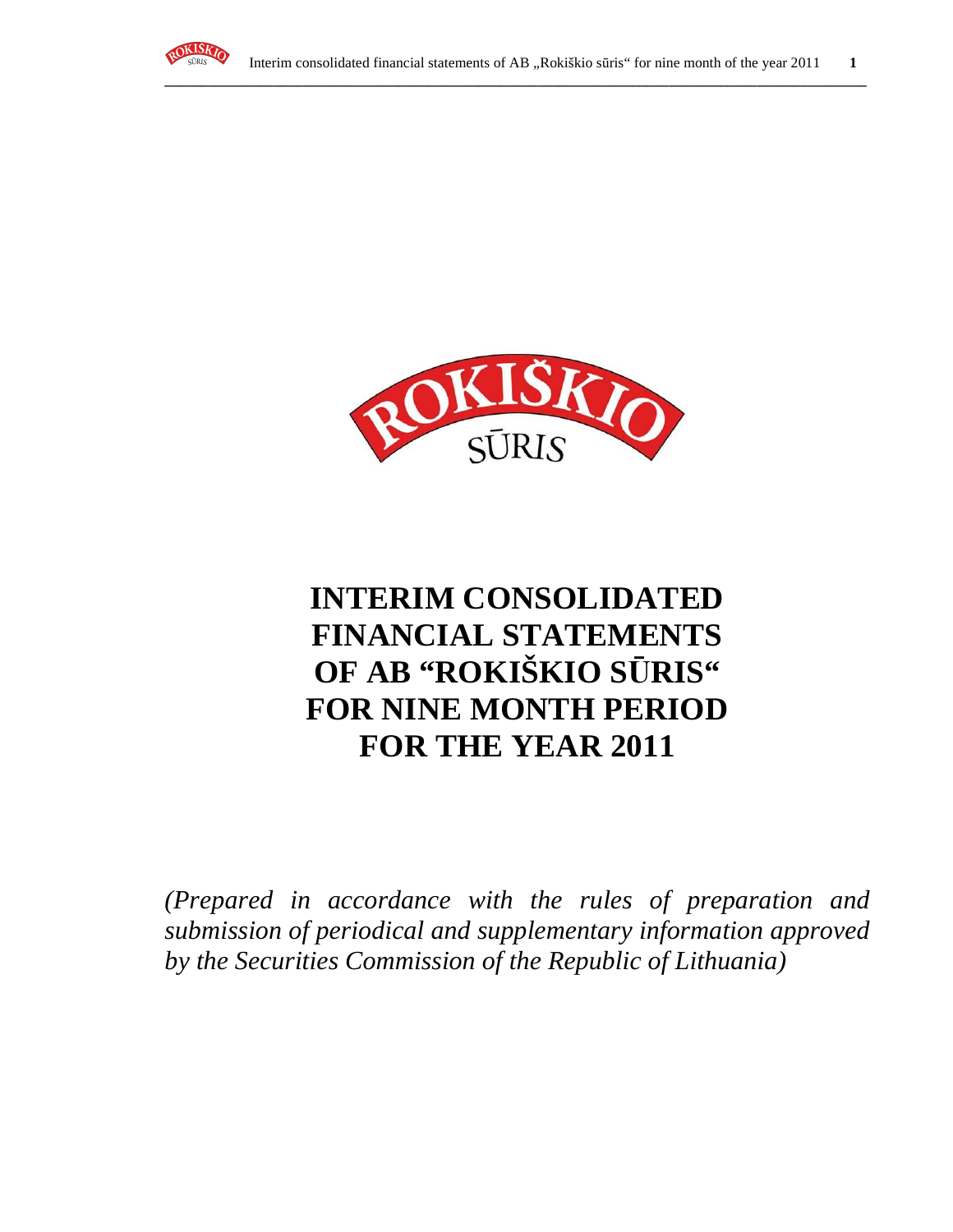



# **INTERIM CONSOLIDATED FINANCIAL STATEMENTS OF AB "ROKIŠKIO S**Ū**RIS" FOR NINE MONTH PERIOD FOR THE YEAR 2011**

*(Prepared in accordance with the rules of preparation and submission of periodical and supplementary information approved by the Securities Commission of the Republic of Lithuania)*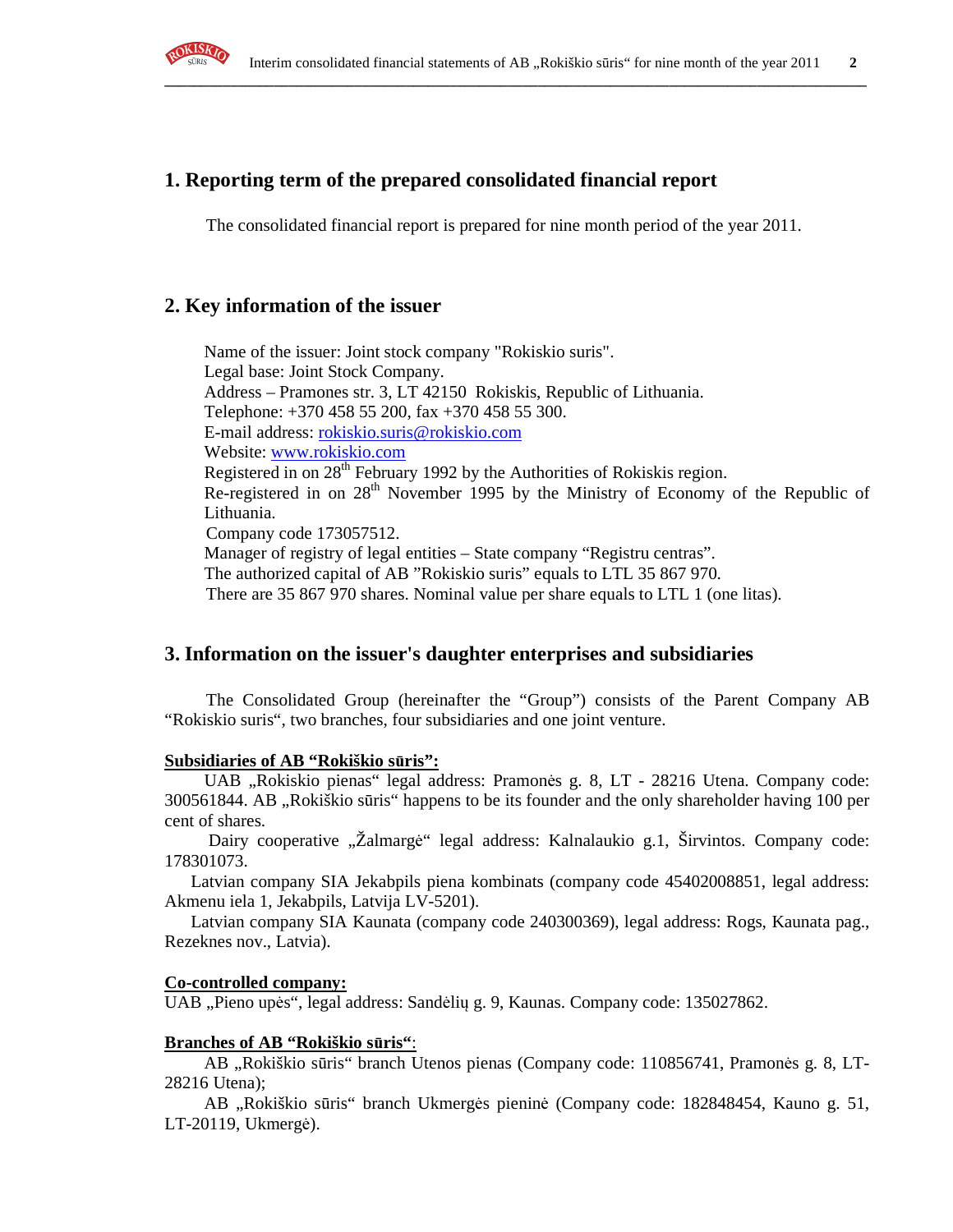

## **1. Reporting term of the prepared consolidated financial report**

The consolidated financial report is prepared for nine month period of the year 2011.

**\_\_\_\_\_\_\_\_\_\_\_\_\_\_\_\_\_\_\_\_\_\_\_\_\_\_\_\_\_\_\_\_\_\_\_\_\_\_\_\_\_\_\_\_\_\_\_\_\_\_\_\_\_\_\_\_\_\_\_\_\_\_\_\_\_\_\_\_\_\_\_\_\_\_\_\_\_\_\_\_\_\_\_\_\_\_\_\_\_\_\_\_\_\_\_\_**

## **2. Key information of the issuer**

Name of the issuer: Joint stock company "Rokiskio suris". Legal base: Joint Stock Company. Address – Pramones str. 3, LT 42150 Rokiskis, Republic of Lithuania. Telephone: +370 458 55 200, fax +370 458 55 300. E-mail address: rokiskio.suris@rokiskio.com Website: www.rokiskio.com Registered in on 28<sup>th</sup> February 1992 by the Authorities of Rokiskis region. Re-registered in on 28<sup>th</sup> November 1995 by the Ministry of Economy of the Republic of Lithuania. Company code 173057512. Manager of registry of legal entities – State company "Registru centras". The authorized capital of AB "Rokiskio suris" equals to LTL 35 867 970. There are 35 867 970 shares. Nominal value per share equals to LTL 1 (one litas).

## **3. Information on the issuer's daughter enterprises and subsidiaries**

The Consolidated Group (hereinafter the "Group") consists of the Parent Company AB "Rokiskio suris", two branches, four subsidiaries and one joint venture.

#### **Subsidiaries of AB "Rokiškio s**ū**ris":**

UAB "Rokiskio pienas" legal address: Pramonės g. 8, LT - 28216 Utena. Company code: 300561844. AB ,,Rokiškio sūris" happens to be its founder and the only shareholder having 100 per cent of shares.

Dairy cooperative "Žalmargė" legal address: Kalnalaukio g.1, Širvintos. Company code: 178301073.

 Latvian company SIA Jekabpils piena kombinats (company code 45402008851, legal address: Akmenu iela 1, Jekabpils, Latvija LV-5201).

 Latvian company SIA Kaunata (company code 240300369), legal address: Rogs, Kaunata pag., Rezeknes nov., Latvia).

#### **Co-controlled company:**

UAB "Pieno upės", legal address: Sandėlių g. 9, Kaunas. Company code: 135027862.

#### **Branches of AB "Rokiškio s**ū**ris"**:

AB "Rokiškio sūris" branch Utenos pienas (Company code: 110856741, Pramonės g. 8, LT-28216 Utena);

AB "Rokiškio sūris" branch Ukmergės pieninė (Company code: 182848454, Kauno g. 51, LT-20119, Ukmergė).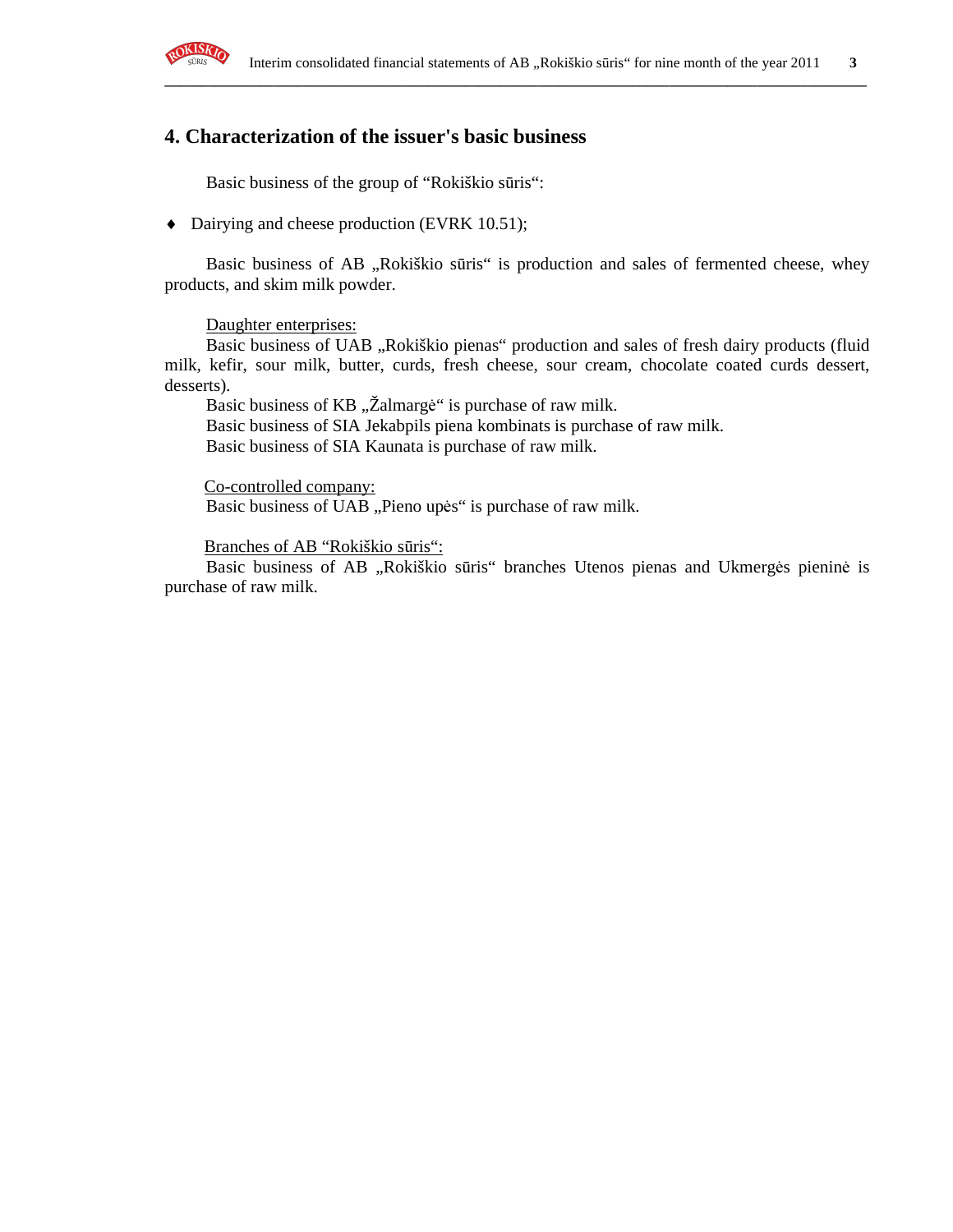

## **4. Characterization of the issuer's basic business**

Basic business of the group of "Rokiškio sūris":

♦ Dairying and cheese production (EVRK 10.51);

Basic business of AB "Rokiškio sūris" is production and sales of fermented cheese, whey products, and skim milk powder.

**\_\_\_\_\_\_\_\_\_\_\_\_\_\_\_\_\_\_\_\_\_\_\_\_\_\_\_\_\_\_\_\_\_\_\_\_\_\_\_\_\_\_\_\_\_\_\_\_\_\_\_\_\_\_\_\_\_\_\_\_\_\_\_\_\_\_\_\_\_\_\_\_\_\_\_\_\_\_\_\_\_\_\_\_\_\_\_\_\_\_\_\_\_\_\_\_**

Daughter enterprises:

Basic business of UAB "Rokiškio pienas" production and sales of fresh dairy products (fluid milk, kefir, sour milk, butter, curds, fresh cheese, sour cream, chocolate coated curds dessert, desserts).

Basic business of KB "Žalmargė" is purchase of raw milk.

Basic business of SIA Jekabpils piena kombinats is purchase of raw milk.

Basic business of SIA Kaunata is purchase of raw milk.

Co-controlled company: Basic business of UAB "Pieno upės" is purchase of raw milk.

Branches of AB "Rokiškio sūris":

Basic business of AB "Rokiškio sūris" branches Utenos pienas and Ukmergės pieninė is purchase of raw milk.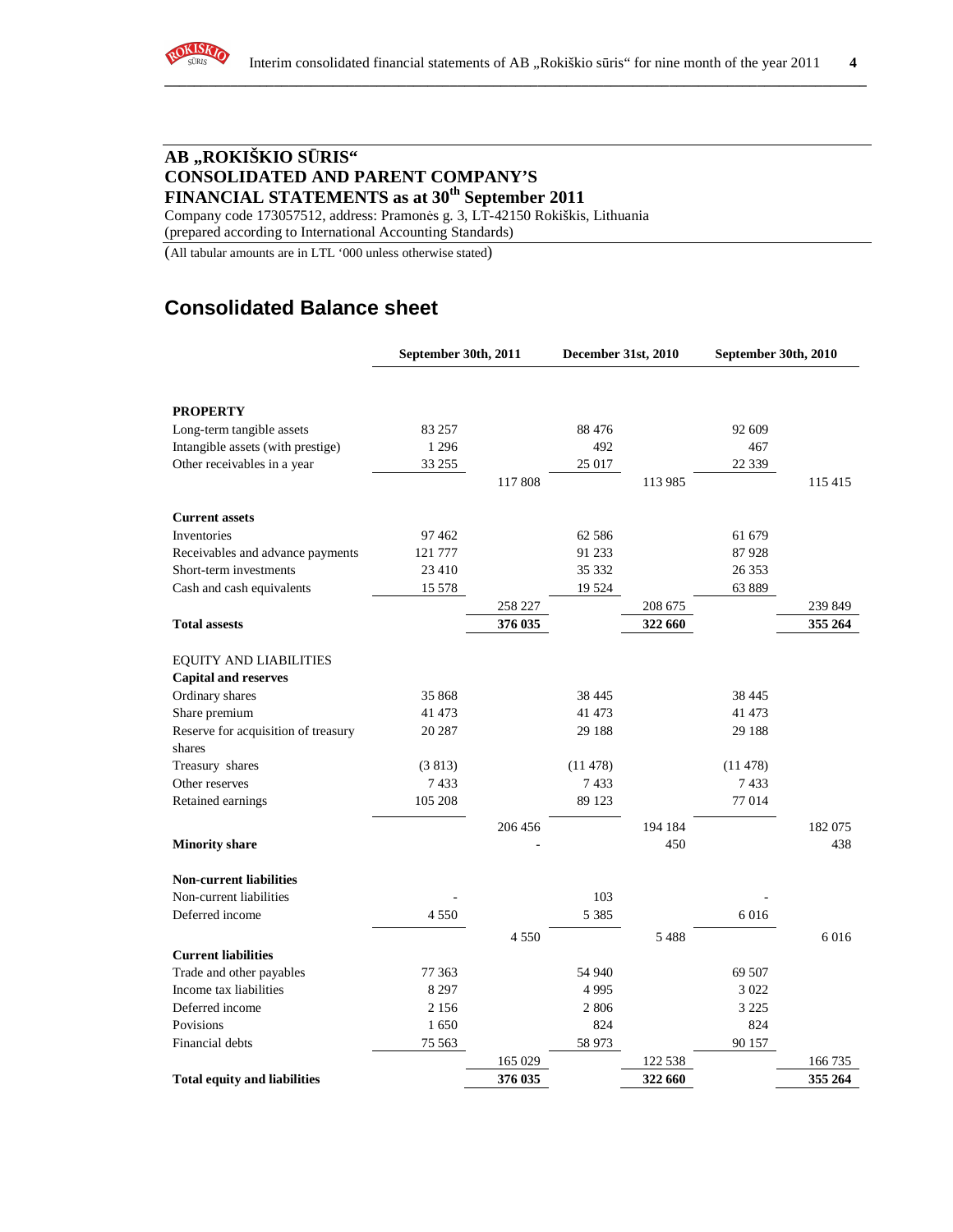

## **AB "ROKIŠKIO S**Ū**RIS" CONSOLIDATED AND PARENT COMPANY'S FINANCIAL STATEMENTS as at 30th September 2011**

Company code 173057512, address: Pramonės g. 3, LT-42150 Rokiškis, Lithuania (prepared according to International Accounting Standards)

(All tabular amounts are in LTL '000 unless otherwise stated)

# **Consolidated Balance sheet**

|                                     | September 30th, 2011 |         | December 31st, 2010 |         | September 30th, 2010 |         |
|-------------------------------------|----------------------|---------|---------------------|---------|----------------------|---------|
|                                     |                      |         |                     |         |                      |         |
| <b>PROPERTY</b>                     |                      |         |                     |         |                      |         |
| Long-term tangible assets           | 83 257               |         | 88 4 7 6            |         | 92 609               |         |
| Intangible assets (with prestige)   | 1 2 9 6              |         | 492                 |         | 467                  |         |
| Other receivables in a year         | 33 255               |         | 25 017              |         | 22 3 3 9             |         |
|                                     |                      | 117 808 |                     | 113 985 |                      | 115 415 |
| <b>Current assets</b>               |                      |         |                     |         |                      |         |
| Inventories                         | 97462                |         | 62 586              |         | 61 679               |         |
| Receivables and advance payments    | 121 777              |         | 91 233              |         | 87928                |         |
| Short-term investments              | 23 4 10              |         | 35 332              |         | 26 353               |         |
| Cash and cash equivalents           | 15 578               |         | 19524               |         | 63 889               |         |
|                                     |                      | 258 227 |                     | 208 675 |                      | 239 849 |
| <b>Total assests</b>                |                      | 376 035 |                     | 322 660 |                      | 355 264 |
| <b>EQUITY AND LIABILITIES</b>       |                      |         |                     |         |                      |         |
| <b>Capital and reserves</b>         |                      |         |                     |         |                      |         |
| Ordinary shares                     | 35 868               |         | 38 4 45             |         | 38 4 45              |         |
| Share premium                       | 41 473               |         | 41 473              |         | 41 473               |         |
| Reserve for acquisition of treasury | 20 287               |         | 29 188              |         | 29 188               |         |
| shares                              |                      |         |                     |         |                      |         |
| Treasury shares                     | (3813)               |         | (11478)             |         | (11478)              |         |
| Other reserves                      | 7433                 |         | 7433                |         | 7433                 |         |
| Retained earnings                   | 105 208              |         | 89 1 23             |         | 77 014               |         |
|                                     |                      | 206 456 |                     | 194 184 |                      | 182075  |
| <b>Minority share</b>               |                      |         |                     | 450     |                      | 438     |
| <b>Non-current liabilities</b>      |                      |         |                     |         |                      |         |
| Non-current liabilities             |                      |         | 103                 |         |                      |         |
| Deferred income                     | 4550                 |         | 5 3 8 5             |         | 6016                 |         |
|                                     |                      | 4 5 5 0 |                     | 5488    |                      | 6016    |
| <b>Current liabilities</b>          |                      |         |                     |         |                      |         |
| Trade and other payables            | 77 363               |         | 54 940              |         | 69 507               |         |
| Income tax liabilities              | 8 2 9 7              |         | 4995                |         | 3 0 2 2              |         |
| Deferred income                     | 2 1 5 6              |         | 2806                |         | 3 2 2 5              |         |
| Povisions                           | 1650                 |         | 824                 |         | 824                  |         |
| Financial debts                     | 75 563               |         | 58 973              |         | 90 157               |         |
|                                     |                      | 165 029 |                     | 122 538 |                      | 166 735 |
| <b>Total equity and liabilities</b> |                      | 376 035 |                     | 322 660 |                      | 355 264 |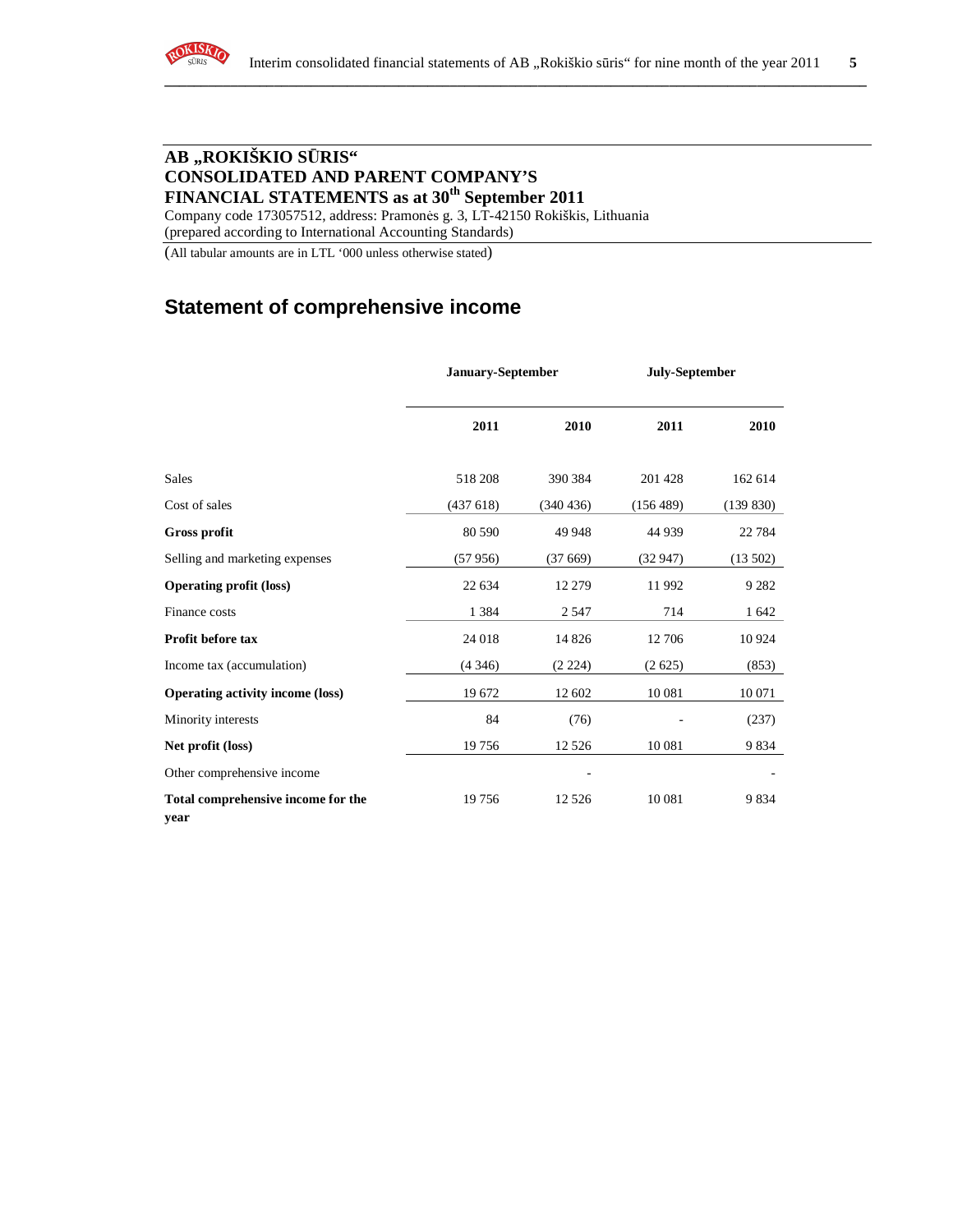

## **AB "ROKIŠKIO S**Ū**RIS" CONSOLIDATED AND PARENT COMPANY'S FINANCIAL STATEMENTS as at 30th September 2011**

Company code 173057512, address: Pramonės g. 3, LT-42150 Rokiškis, Lithuania (prepared according to International Accounting Standards)

(All tabular amounts are in LTL '000 unless otherwise stated)

## **Statement of comprehensive income**

|                                            | <b>January-September</b> |           | July-September |           |
|--------------------------------------------|--------------------------|-----------|----------------|-----------|
|                                            | 2011                     | 2010      | 2011           | 2010      |
| <b>Sales</b>                               | 518 208                  | 390 384   | 201 428        | 162 614   |
| Cost of sales                              | (437618)                 | (340 436) | (156 489)      | (139 830) |
| <b>Gross profit</b>                        | 80 590                   | 49 948    | 44 9 39        | 22 7 84   |
| Selling and marketing expenses             | (57956)                  | (37669)   | (32947)        | (13502)   |
| <b>Operating profit (loss)</b>             | 22 634                   | 12 279    | 11 992         | 9 2 8 2   |
| Finance costs                              | 1 3 8 4                  | 2 5 4 7   | 714            | 1 642     |
| Profit before tax                          | 24 018                   | 14 8 26   | 12 706         | 10924     |
| Income tax (accumulation)                  | (4346)                   | (2 224)   | (2625)         | (853)     |
| <b>Operating activity income (loss)</b>    | 19 672                   | 12 602    | 10 081         | 10 071    |
| Minority interests                         | 84                       | (76)      |                | (237)     |
| Net profit (loss)                          | 19756                    | 12 5 26   | 10 081         | 9834      |
| Other comprehensive income                 |                          |           |                |           |
| Total comprehensive income for the<br>year | 19756                    | 12 5 26   | 10 081         | 9834      |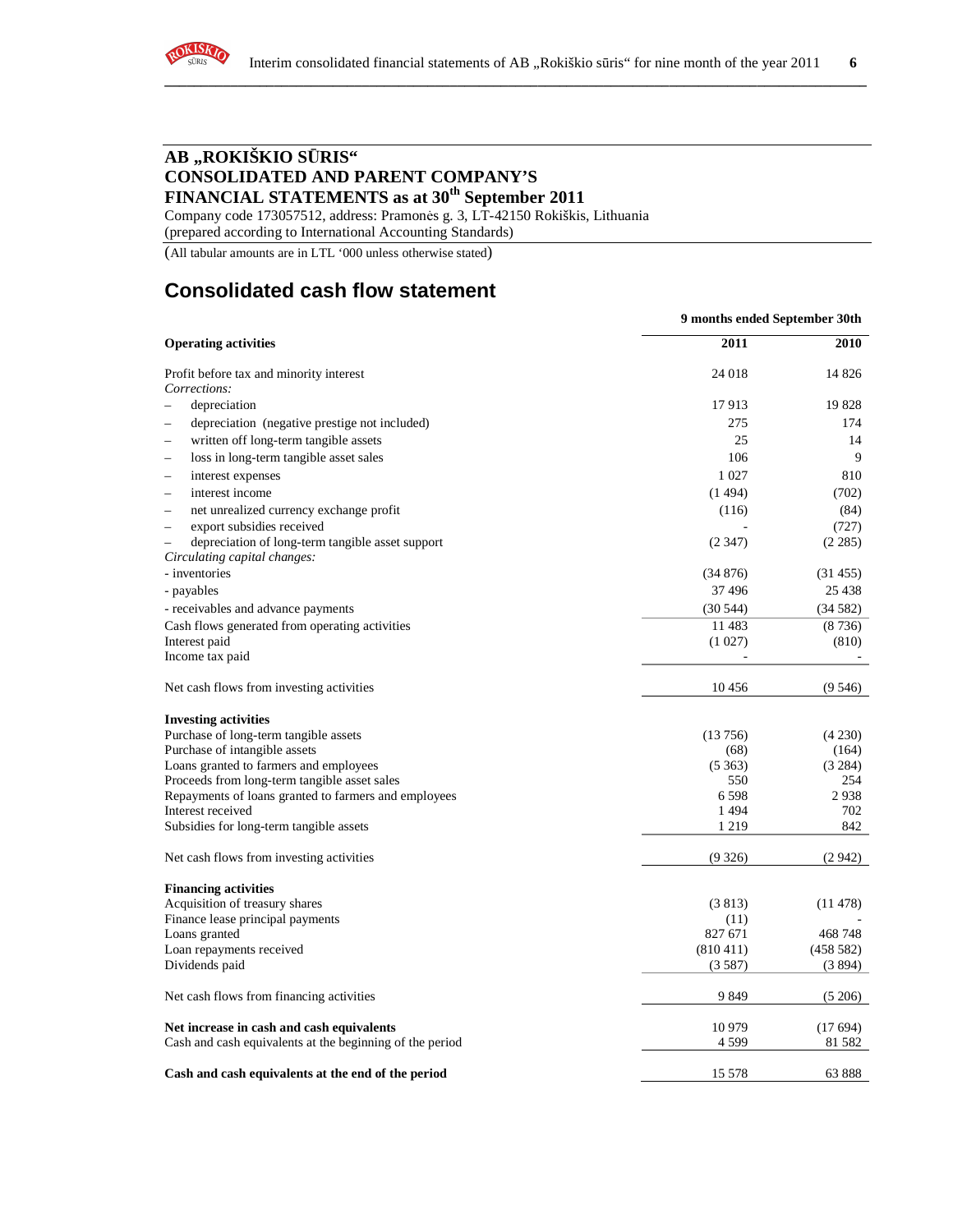

## **AB "ROKIŠKIO S**Ū**RIS" CONSOLIDATED AND PARENT COMPANY'S FINANCIAL STATEMENTS as at 30th September 2011**

Company code 173057512, address: Pramonės g. 3, LT-42150 Rokiškis, Lithuania

(prepared according to International Accounting Standards)

(All tabular amounts are in LTL '000 unless otherwise stated)

# **Consolidated cash flow statement**

|                                                                                                       | 9 months ended September 30th |                    |
|-------------------------------------------------------------------------------------------------------|-------------------------------|--------------------|
| <b>Operating activities</b>                                                                           | 2011                          | <b>2010</b>        |
| Profit before tax and minority interest                                                               | 24 018                        | 14 8 26            |
| Corrections:                                                                                          |                               |                    |
| depreciation                                                                                          | 17913                         | 19828              |
| depreciation (negative prestige not included)                                                         | 275                           | 174                |
| written off long-term tangible assets                                                                 | 25                            | 14                 |
| loss in long-term tangible asset sales                                                                | 106                           | 9                  |
| interest expenses<br>$\overline{\phantom{0}}$                                                         | 1 0 2 7                       | 810                |
| interest income                                                                                       | (1494)                        | (702)              |
| net unrealized currency exchange profit                                                               | (116)                         | (84)               |
| export subsidies received<br>$\equiv$                                                                 |                               | (727)              |
| depreciation of long-term tangible asset support                                                      | (2347)                        | (2 285)            |
| Circulating capital changes:                                                                          |                               |                    |
| - inventories                                                                                         | (34876)                       | (31455)            |
| - payables                                                                                            | 37496                         | 25 4 38            |
| - receivables and advance payments                                                                    | (30544)                       | (34582)            |
| Cash flows generated from operating activities                                                        | 11483                         | (8736)             |
| Interest paid                                                                                         | (1027)                        | (810)              |
| Income tax paid                                                                                       |                               |                    |
| Net cash flows from investing activities                                                              | 10456                         | (9546)             |
| <b>Investing activities</b>                                                                           |                               |                    |
| Purchase of long-term tangible assets                                                                 | (13756)                       | (4230)             |
| Purchase of intangible assets                                                                         | (68)                          | (164)              |
| Loans granted to farmers and employees                                                                | (5363)                        | (3 284)            |
| Proceeds from long-term tangible asset sales                                                          | 550                           | 254                |
| Repayments of loans granted to farmers and employees                                                  | 6598                          | 2938               |
| Interest received                                                                                     | 1494                          | 702                |
| Subsidies for long-term tangible assets                                                               | 1 2 1 9                       | 842                |
| Net cash flows from investing activities                                                              | (9326)                        | (2942)             |
|                                                                                                       |                               |                    |
| <b>Financing activities</b><br>Acquisition of treasury shares                                         | (3813)                        | (11478)            |
| Finance lease principal payments                                                                      | (11)                          |                    |
| Loans granted                                                                                         | 827 671                       | 468748             |
| Loan repayments received                                                                              | (810411)                      | (458582)           |
| Dividends paid                                                                                        | (3587)                        | (3894)             |
| Net cash flows from financing activities                                                              | 9849                          | (5206)             |
|                                                                                                       |                               |                    |
| Net increase in cash and cash equivalents<br>Cash and cash equivalents at the beginning of the period | 10979<br>4 5 9 9              | (17694)<br>81 5 82 |
|                                                                                                       |                               |                    |
| Cash and cash equivalents at the end of the period                                                    | 15 578                        | 63888              |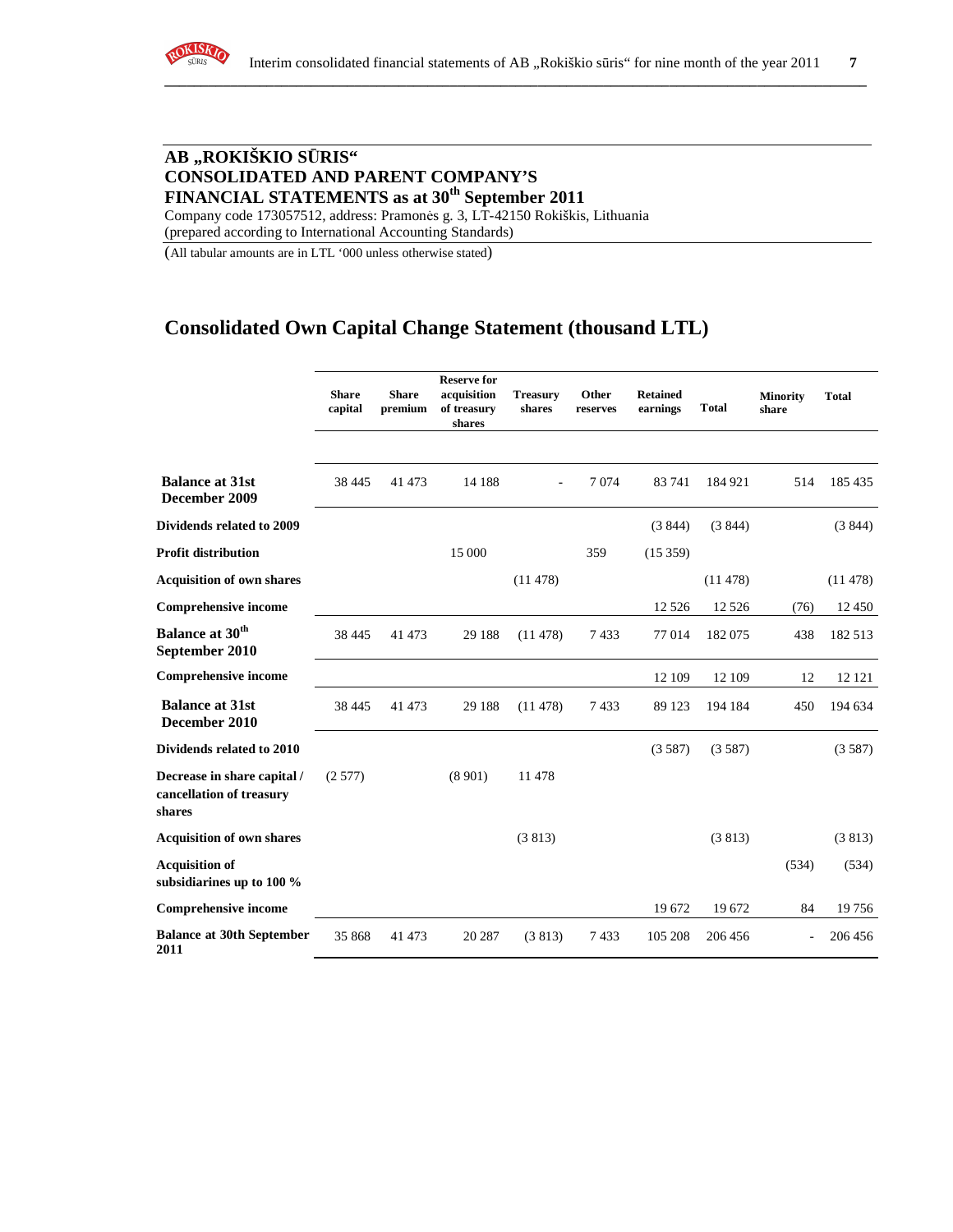

## **AB "ROKIŠKIO S**Ū**RIS" CONSOLIDATED AND PARENT COMPANY'S FINANCIAL STATEMENTS as at 30th September 2011**

Company code 173057512, address: Pramonės g. 3, LT-42150 Rokiškis, Lithuania (prepared according to International Accounting Standards)

(All tabular amounts are in LTL '000 unless otherwise stated)

## **Consolidated Own Capital Change Statement (thousand LTL)**

|                                                                   | <b>Share</b><br>capital | <b>Share</b><br>premium | <b>Reserve for</b><br>acquisition<br>of treasury<br>shares | <b>Treasury</b><br>shares | Other<br>reserves | <b>Retained</b><br>earnings | <b>Total</b> | <b>Minority</b><br>share | <b>Total</b> |
|-------------------------------------------------------------------|-------------------------|-------------------------|------------------------------------------------------------|---------------------------|-------------------|-----------------------------|--------------|--------------------------|--------------|
| <b>Balance at 31st</b><br>December 2009                           | 38 4 45                 | 41 473                  | 14 188                                                     |                           | 7074              | 83741                       | 184 921      | 514                      | 185 435      |
| <b>Dividends related to 2009</b>                                  |                         |                         |                                                            |                           |                   | (3844)                      | (3844)       |                          | (3844)       |
| <b>Profit distribution</b>                                        |                         |                         | 15 000                                                     |                           | 359               | (15359)                     |              |                          |              |
| <b>Acquisition of own shares</b>                                  |                         |                         |                                                            | (11478)                   |                   |                             | (11478)      |                          | (11478)      |
| <b>Comprehensive income</b>                                       |                         |                         |                                                            |                           |                   | 12 5 26                     | 12 5 26      | (76)                     | 12 450       |
| <b>Balance at 30th</b><br>September 2010                          | 38 4 45                 | 41 473                  | 29 188                                                     | (11478)                   | 7433              | 77 014                      | 182075       | 438                      | 182 513      |
| <b>Comprehensive income</b>                                       |                         |                         |                                                            |                           |                   | 12 109                      | 12 109       | 12                       | 12 12 1      |
| <b>Balance at 31st</b><br>December 2010                           | 38 4 45                 | 41 473                  | 29 188                                                     | (11478)                   | 7433              | 89 123                      | 194 184      | 450                      | 194 634      |
| Dividends related to 2010                                         |                         |                         |                                                            |                           |                   | (3587)                      | (3587)       |                          | (3587)       |
| Decrease in share capital /<br>cancellation of treasury<br>shares | (2577)                  |                         | (8901)                                                     | 11 478                    |                   |                             |              |                          |              |
| <b>Acquisition of own shares</b>                                  |                         |                         |                                                            | (3813)                    |                   |                             | (3813)       |                          | (3813)       |
| <b>Acquisition of</b><br>subsidiarines up to 100 %                |                         |                         |                                                            |                           |                   |                             |              | (534)                    | (534)        |
| <b>Comprehensive income</b>                                       |                         |                         |                                                            |                           |                   | 19672                       | 19672        | 84                       | 19756        |
| <b>Balance at 30th September</b><br>2011                          | 35 868                  | 41 473                  | 20 287                                                     | (3813)                    | 7433              | 105 208                     | 206 456      |                          | 206 456      |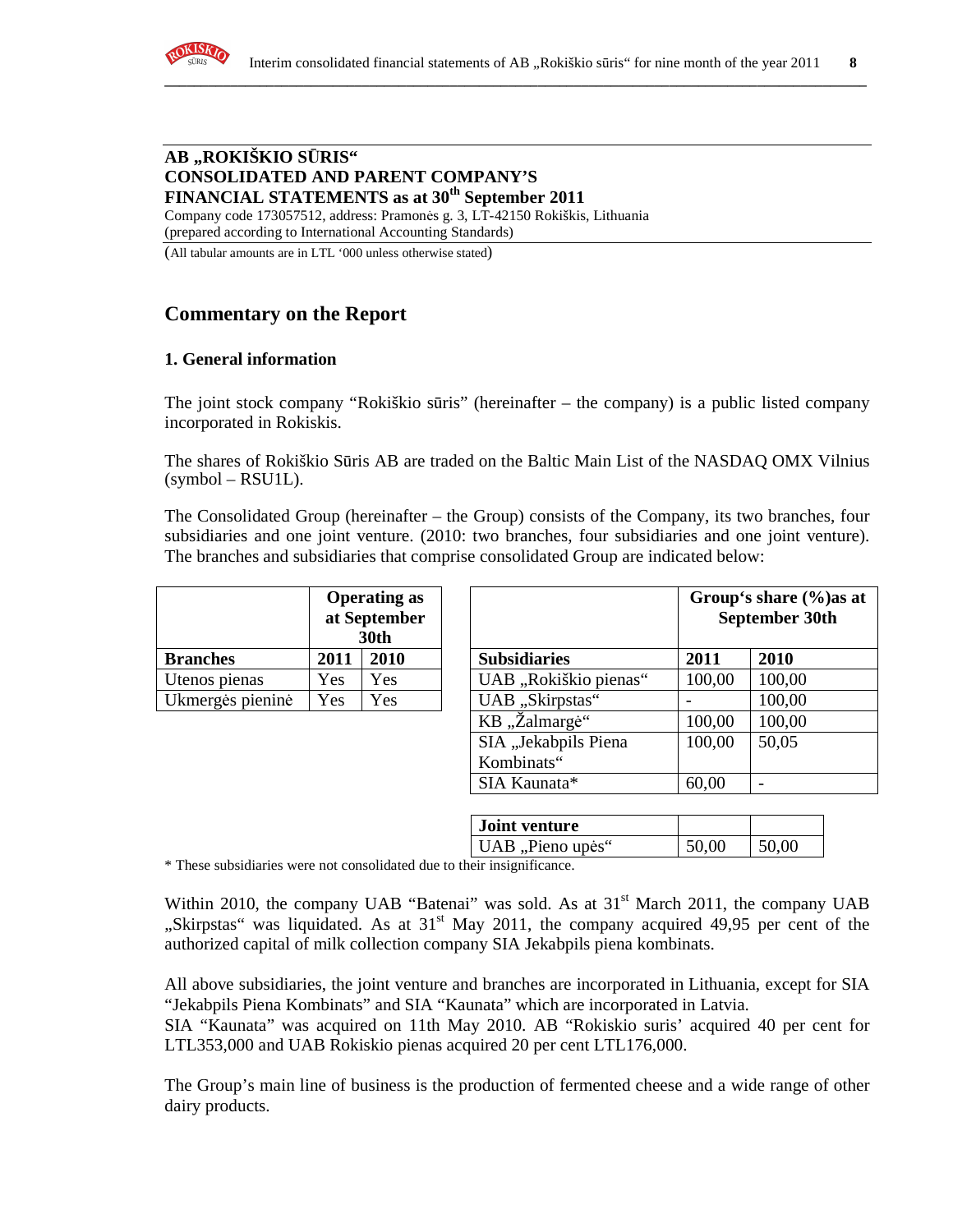

#### **AB "ROKIŠKIO S**Ū**RIS" CONSOLIDATED AND PARENT COMPANY'S FINANCIAL STATEMENTS as at 30th September 2011**

Company code 173057512, address: Pramonės g. 3, LT-42150 Rokiškis, Lithuania (prepared according to International Accounting Standards)

(All tabular amounts are in LTL '000 unless otherwise stated)

## **Commentary on the Report**

#### **1. General information**

The joint stock company "Rokiškio sūris" (hereinafter – the company) is a public listed company incorporated in Rokiskis.

The shares of Rokiškio Sūris AB are traded on the Baltic Main List of the NASDAQ OMX Vilnius  $(symbol - RSU1L)$ .

The Consolidated Group (hereinafter – the Group) consists of the Company, its two branches, four subsidiaries and one joint venture. (2010: two branches, four subsidiaries and one joint venture). The branches and subsidiaries that comprise consolidated Group are indicated below:

|                  | <b>Operating as</b><br>at September<br>30th |     |  |
|------------------|---------------------------------------------|-----|--|
| <b>Branches</b>  | 2011<br>2010                                |     |  |
| Utenos pienas    | Yes                                         | Yes |  |
| Ukmergės pieninė | Yes                                         | Yes |  |

|                  |      | <b>Operating as</b><br>at September<br><b>30th</b> |                       |        | Group's share (%) as at<br>September 30th |
|------------------|------|----------------------------------------------------|-----------------------|--------|-------------------------------------------|
| <b>Branches</b>  | 2011 | 2010                                               | <b>Subsidiaries</b>   | 2011   | 2010                                      |
| Utenos pienas    | Yes  | Yes                                                | UAB "Rokiškio pienas" | 100,00 | 100,00                                    |
| Ukmergės pieninė | Yes  | Yes                                                | UAB "Skirpstas"       |        | 100,00                                    |
|                  |      |                                                    | KB "Žalmargė"         | 100,00 | 100,00                                    |
|                  |      |                                                    | SIA "Jekabpils Piena  | 100,00 | 50,05                                     |
|                  |      |                                                    | Kombinats"            |        |                                           |
|                  |      |                                                    | SIA Kaunata*          | 60,00  | $\overline{\phantom{a}}$                  |

| <b>Joint venture</b> |       |       |
|----------------------|-------|-------|
| UAB, Pieno upės"     | 50,00 | 50,00 |

\* These subsidiaries were not consolidated due to their insignificance.

Within 2010, the company UAB "Batenai" was sold. As at  $31<sup>st</sup>$  March 2011, the company UAB "Skirpstas" was liquidated. As at  $31<sup>st</sup>$  May 2011, the company acquired 49,95 per cent of the authorized capital of milk collection company SIA Jekabpils piena kombinats.

All above subsidiaries, the joint venture and branches are incorporated in Lithuania, except for SIA "Jekabpils Piena Kombinats" and SIA "Kaunata" which are incorporated in Latvia.

SIA "Kaunata" was acquired on 11th May 2010. AB "Rokiskio suris' acquired 40 per cent for LTL353,000 and UAB Rokiskio pienas acquired 20 per cent LTL176,000.

The Group's main line of business is the production of fermented cheese and a wide range of other dairy products.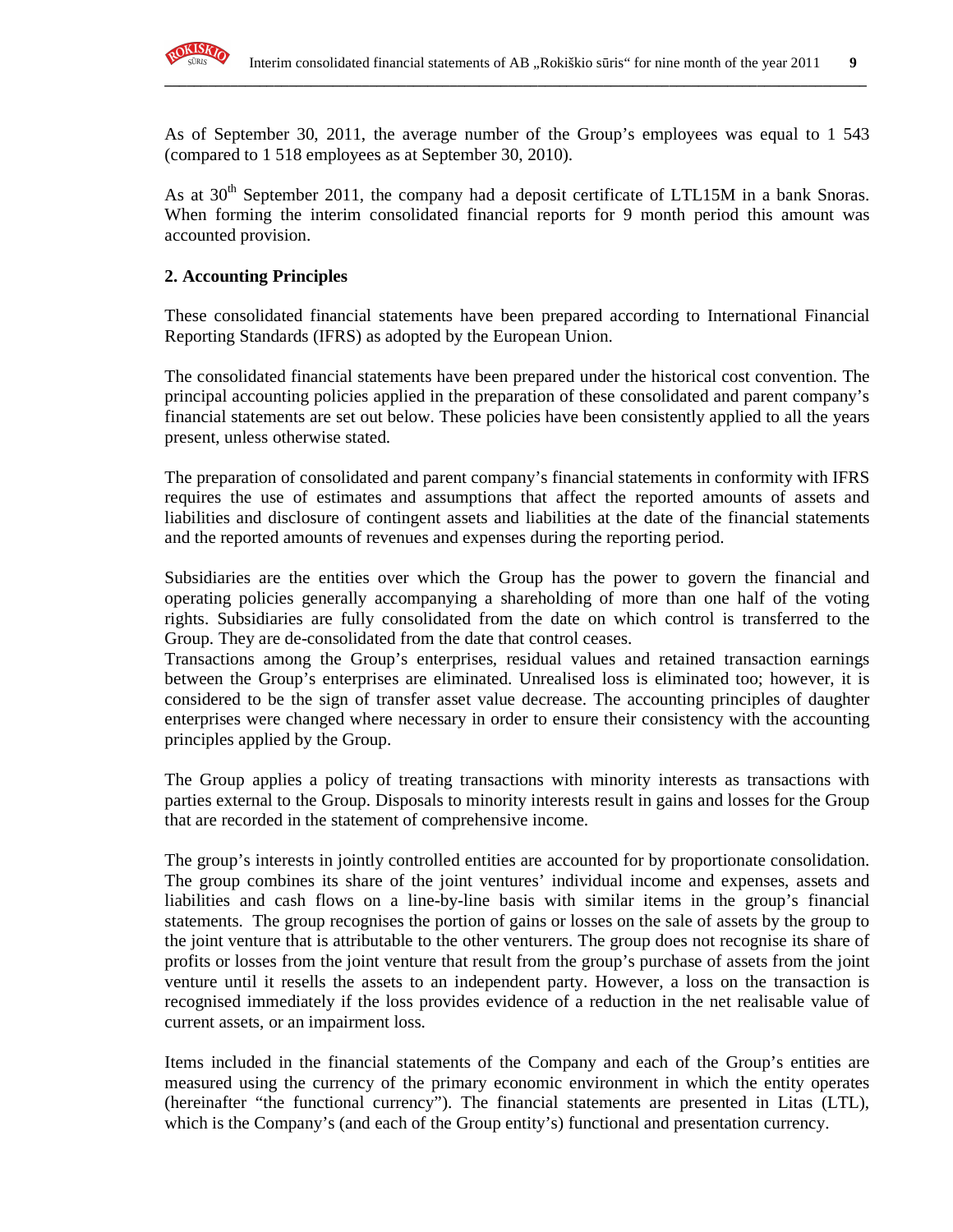

As of September 30, 2011, the average number of the Group's employees was equal to 1 543 (compared to 1 518 employees as at September 30, 2010).

**\_\_\_\_\_\_\_\_\_\_\_\_\_\_\_\_\_\_\_\_\_\_\_\_\_\_\_\_\_\_\_\_\_\_\_\_\_\_\_\_\_\_\_\_\_\_\_\_\_\_\_\_\_\_\_\_\_\_\_\_\_\_\_\_\_\_\_\_\_\_\_\_\_\_\_\_\_\_\_\_\_\_\_\_\_\_\_\_\_\_\_\_\_\_\_\_**

As at  $30<sup>th</sup>$  September 2011, the company had a deposit certificate of LTL15M in a bank Snoras. When forming the interim consolidated financial reports for 9 month period this amount was accounted provision.

#### **2. Accounting Principles**

These consolidated financial statements have been prepared according to International Financial Reporting Standards (IFRS) as adopted by the European Union.

The consolidated financial statements have been prepared under the historical cost convention. The principal accounting policies applied in the preparation of these consolidated and parent company's financial statements are set out below. These policies have been consistently applied to all the years present, unless otherwise stated.

The preparation of consolidated and parent company's financial statements in conformity with IFRS requires the use of estimates and assumptions that affect the reported amounts of assets and liabilities and disclosure of contingent assets and liabilities at the date of the financial statements and the reported amounts of revenues and expenses during the reporting period.

Subsidiaries are the entities over which the Group has the power to govern the financial and operating policies generally accompanying a shareholding of more than one half of the voting rights. Subsidiaries are fully consolidated from the date on which control is transferred to the Group. They are de-consolidated from the date that control ceases.

Transactions among the Group's enterprises, residual values and retained transaction earnings between the Group's enterprises are eliminated. Unrealised loss is eliminated too; however, it is considered to be the sign of transfer asset value decrease. The accounting principles of daughter enterprises were changed where necessary in order to ensure their consistency with the accounting principles applied by the Group.

The Group applies a policy of treating transactions with minority interests as transactions with parties external to the Group. Disposals to minority interests result in gains and losses for the Group that are recorded in the statement of comprehensive income.

The group's interests in jointly controlled entities are accounted for by proportionate consolidation. The group combines its share of the joint ventures' individual income and expenses, assets and liabilities and cash flows on a line-by-line basis with similar items in the group's financial statements. The group recognises the portion of gains or losses on the sale of assets by the group to the joint venture that is attributable to the other venturers. The group does not recognise its share of profits or losses from the joint venture that result from the group's purchase of assets from the joint venture until it resells the assets to an independent party. However, a loss on the transaction is recognised immediately if the loss provides evidence of a reduction in the net realisable value of current assets, or an impairment loss.

Items included in the financial statements of the Company and each of the Group's entities are measured using the currency of the primary economic environment in which the entity operates (hereinafter "the functional currency"). The financial statements are presented in Litas (LTL), which is the Company's (and each of the Group entity's) functional and presentation currency.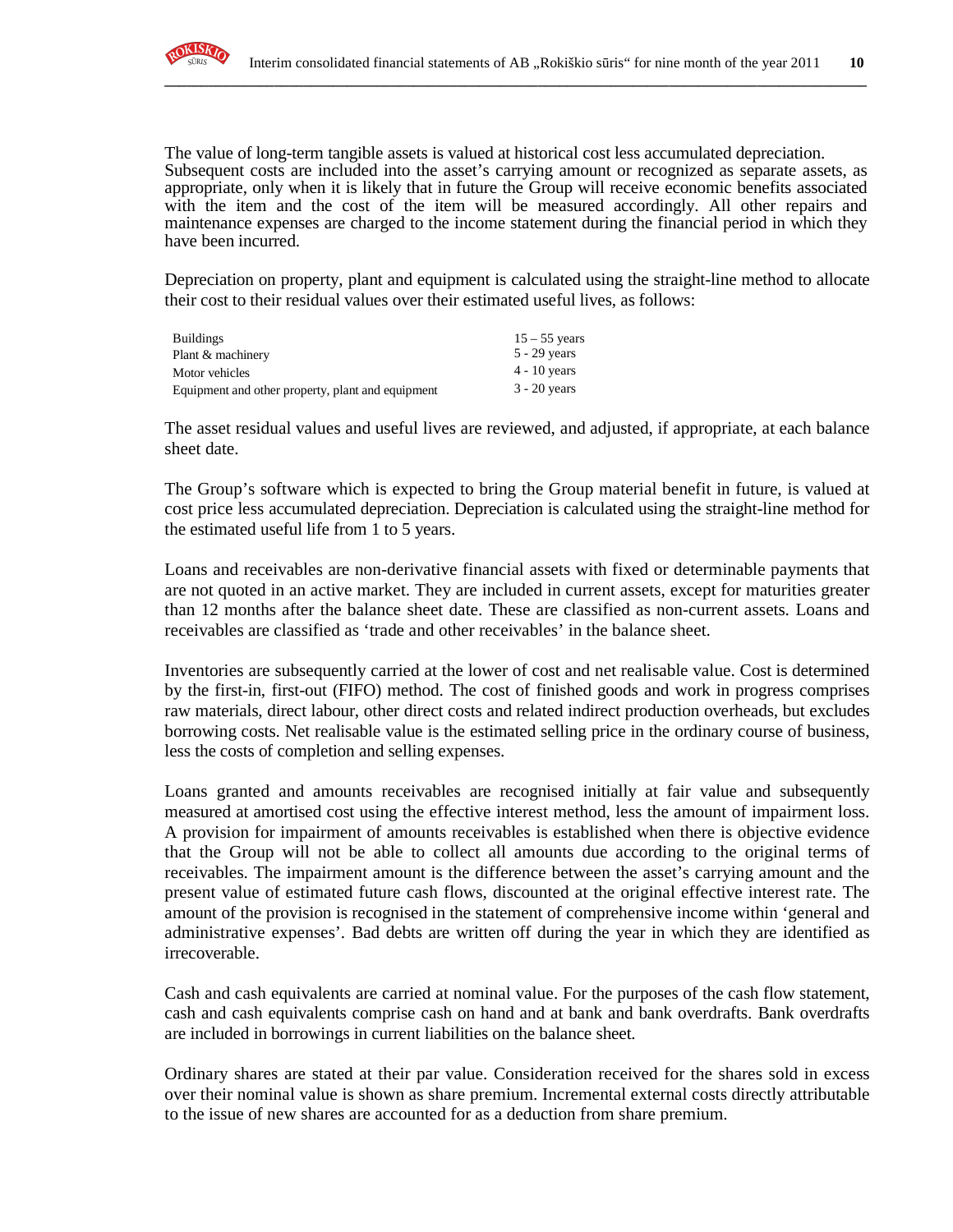

The value of long-term tangible assets is valued at historical cost less accumulated depreciation. Subsequent costs are included into the asset's carrying amount or recognized as separate assets, as appropriate, only when it is likely that in future the Group will receive economic benefits associated with the item and the cost of the item will be measured accordingly. All other repairs and maintenance expenses are charged to the income statement during the financial period in which they have been incurred.

**\_\_\_\_\_\_\_\_\_\_\_\_\_\_\_\_\_\_\_\_\_\_\_\_\_\_\_\_\_\_\_\_\_\_\_\_\_\_\_\_\_\_\_\_\_\_\_\_\_\_\_\_\_\_\_\_\_\_\_\_\_\_\_\_\_\_\_\_\_\_\_\_\_\_\_\_\_\_\_\_\_\_\_\_\_\_\_\_\_\_\_\_\_\_\_\_**

Depreciation on property, plant and equipment is calculated using the straight-line method to allocate their cost to their residual values over their estimated useful lives, as follows:

| <b>Buildings</b>                                  | $15 - 55$ years |
|---------------------------------------------------|-----------------|
| Plant & machinery                                 | $5 - 29$ years  |
| Motor vehicles                                    | $4 - 10$ years  |
| Equipment and other property, plant and equipment | $3 - 20$ years  |

The asset residual values and useful lives are reviewed, and adjusted, if appropriate, at each balance sheet date.

The Group's software which is expected to bring the Group material benefit in future, is valued at cost price less accumulated depreciation. Depreciation is calculated using the straight-line method for the estimated useful life from 1 to 5 years.

Loans and receivables are non-derivative financial assets with fixed or determinable payments that are not quoted in an active market. They are included in current assets, except for maturities greater than 12 months after the balance sheet date. These are classified as non-current assets. Loans and receivables are classified as 'trade and other receivables' in the balance sheet.

Inventories are subsequently carried at the lower of cost and net realisable value. Cost is determined by the first-in, first-out (FIFO) method. The cost of finished goods and work in progress comprises raw materials, direct labour, other direct costs and related indirect production overheads, but excludes borrowing costs. Net realisable value is the estimated selling price in the ordinary course of business, less the costs of completion and selling expenses.

Loans granted and amounts receivables are recognised initially at fair value and subsequently measured at amortised cost using the effective interest method, less the amount of impairment loss. A provision for impairment of amounts receivables is established when there is objective evidence that the Group will not be able to collect all amounts due according to the original terms of receivables. The impairment amount is the difference between the asset's carrying amount and the present value of estimated future cash flows, discounted at the original effective interest rate. The amount of the provision is recognised in the statement of comprehensive income within 'general and administrative expenses'. Bad debts are written off during the year in which they are identified as irrecoverable.

Cash and cash equivalents are carried at nominal value. For the purposes of the cash flow statement, cash and cash equivalents comprise cash on hand and at bank and bank overdrafts. Bank overdrafts are included in borrowings in current liabilities on the balance sheet.

Ordinary shares are stated at their par value. Consideration received for the shares sold in excess over their nominal value is shown as share premium. Incremental external costs directly attributable to the issue of new shares are accounted for as a deduction from share premium.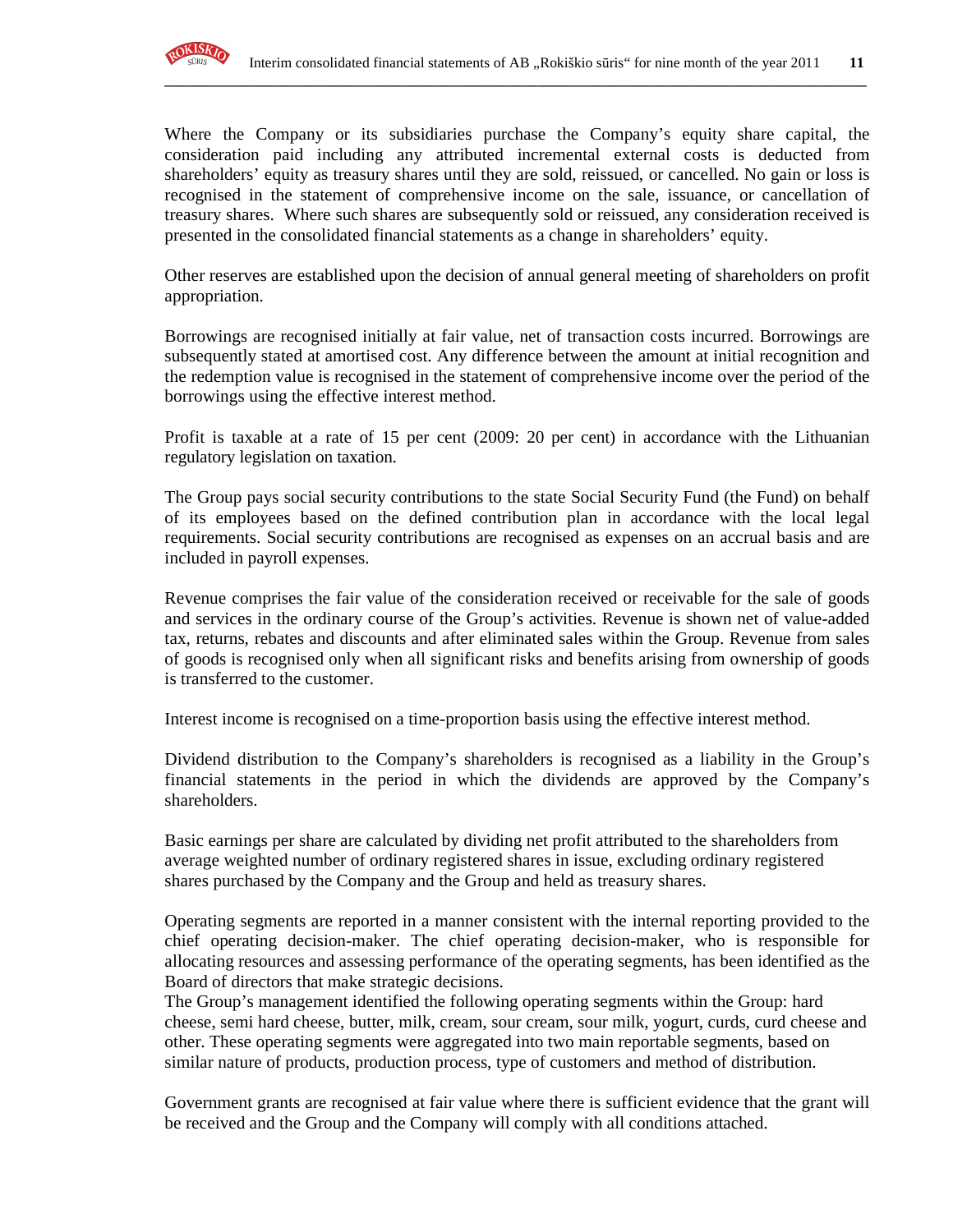

Where the Company or its subsidiaries purchase the Company's equity share capital, the consideration paid including any attributed incremental external costs is deducted from shareholders' equity as treasury shares until they are sold, reissued, or cancelled. No gain or loss is recognised in the statement of comprehensive income on the sale, issuance, or cancellation of treasury shares. Where such shares are subsequently sold or reissued, any consideration received is presented in the consolidated financial statements as a change in shareholders' equity.

**\_\_\_\_\_\_\_\_\_\_\_\_\_\_\_\_\_\_\_\_\_\_\_\_\_\_\_\_\_\_\_\_\_\_\_\_\_\_\_\_\_\_\_\_\_\_\_\_\_\_\_\_\_\_\_\_\_\_\_\_\_\_\_\_\_\_\_\_\_\_\_\_\_\_\_\_\_\_\_\_\_\_\_\_\_\_\_\_\_\_\_\_\_\_\_\_**

Other reserves are established upon the decision of annual general meeting of shareholders on profit appropriation.

Borrowings are recognised initially at fair value, net of transaction costs incurred. Borrowings are subsequently stated at amortised cost. Any difference between the amount at initial recognition and the redemption value is recognised in the statement of comprehensive income over the period of the borrowings using the effective interest method.

Profit is taxable at a rate of 15 per cent (2009: 20 per cent) in accordance with the Lithuanian regulatory legislation on taxation.

The Group pays social security contributions to the state Social Security Fund (the Fund) on behalf of its employees based on the defined contribution plan in accordance with the local legal requirements. Social security contributions are recognised as expenses on an accrual basis and are included in payroll expenses.

Revenue comprises the fair value of the consideration received or receivable for the sale of goods and services in the ordinary course of the Group's activities. Revenue is shown net of value-added tax, returns, rebates and discounts and after eliminated sales within the Group. Revenue from sales of goods is recognised only when all significant risks and benefits arising from ownership of goods is transferred to the customer.

Interest income is recognised on a time-proportion basis using the effective interest method.

Dividend distribution to the Company's shareholders is recognised as a liability in the Group's financial statements in the period in which the dividends are approved by the Company's shareholders.

Basic earnings per share are calculated by dividing net profit attributed to the shareholders from average weighted number of ordinary registered shares in issue, excluding ordinary registered shares purchased by the Company and the Group and held as treasury shares.

Operating segments are reported in a manner consistent with the internal reporting provided to the chief operating decision-maker. The chief operating decision-maker, who is responsible for allocating resources and assessing performance of the operating segments, has been identified as the Board of directors that make strategic decisions.

The Group's management identified the following operating segments within the Group: hard cheese, semi hard cheese, butter, milk, cream, sour cream, sour milk, yogurt, curds, curd cheese and other. These operating segments were aggregated into two main reportable segments, based on similar nature of products, production process, type of customers and method of distribution.

Government grants are recognised at fair value where there is sufficient evidence that the grant will be received and the Group and the Company will comply with all conditions attached.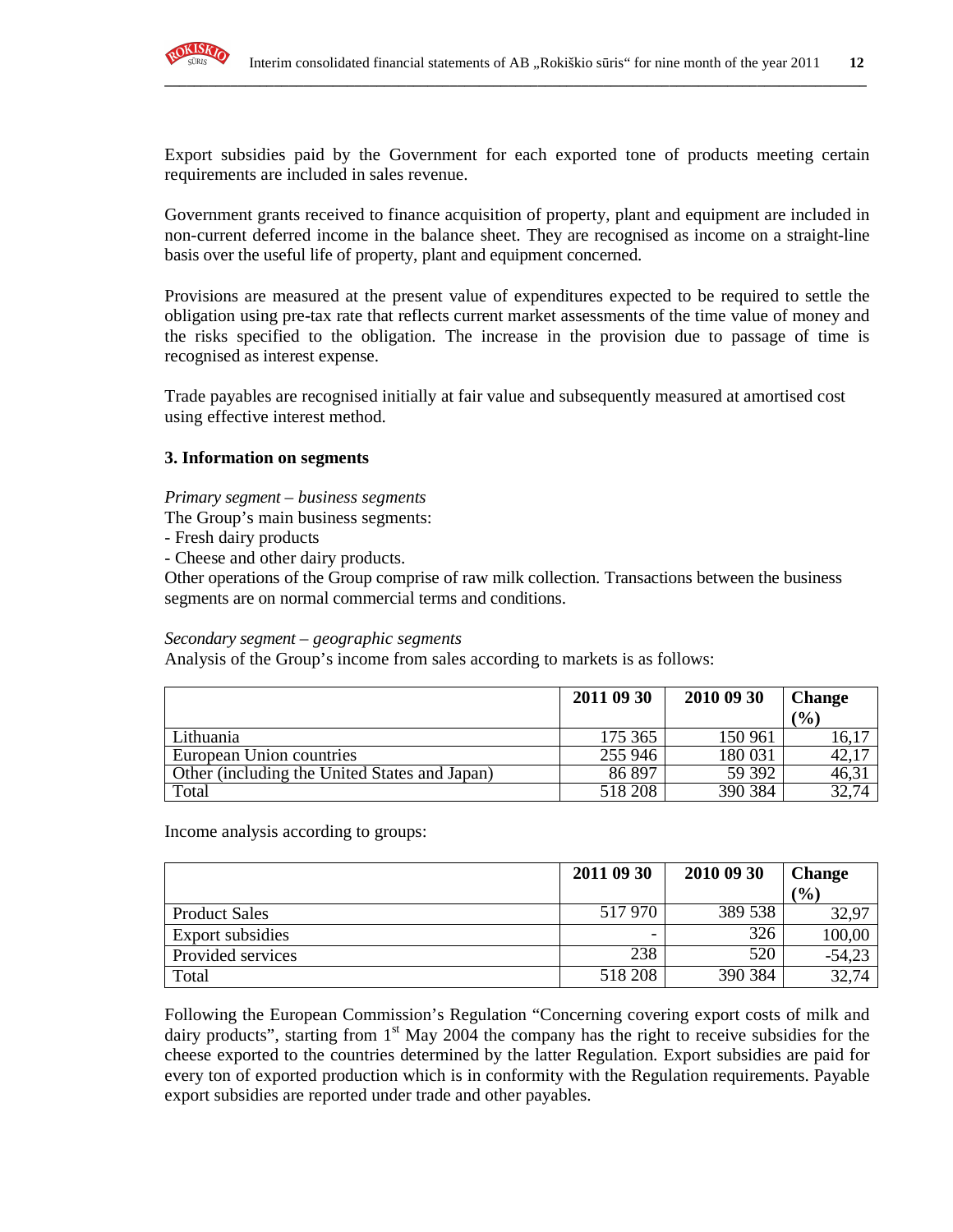

Export subsidies paid by the Government for each exported tone of products meeting certain requirements are included in sales revenue.

**\_\_\_\_\_\_\_\_\_\_\_\_\_\_\_\_\_\_\_\_\_\_\_\_\_\_\_\_\_\_\_\_\_\_\_\_\_\_\_\_\_\_\_\_\_\_\_\_\_\_\_\_\_\_\_\_\_\_\_\_\_\_\_\_\_\_\_\_\_\_\_\_\_\_\_\_\_\_\_\_\_\_\_\_\_\_\_\_\_\_\_\_\_\_\_\_**

Government grants received to finance acquisition of property, plant and equipment are included in non-current deferred income in the balance sheet. They are recognised as income on a straight-line basis over the useful life of property, plant and equipment concerned.

Provisions are measured at the present value of expenditures expected to be required to settle the obligation using pre-tax rate that reflects current market assessments of the time value of money and the risks specified to the obligation. The increase in the provision due to passage of time is recognised as interest expense.

Trade payables are recognised initially at fair value and subsequently measured at amortised cost using effective interest method.

### **3. Information on segments**

*Primary segment – business segments* 

The Group's main business segments:

- Fresh dairy products
- Cheese and other dairy products.

Other operations of the Group comprise of raw milk collection. Transactions between the business segments are on normal commercial terms and conditions.

#### *Secondary segment – geographic segments*

Analysis of the Group's income from sales according to markets is as follows:

|                                               | 2011 09 30 | 2010 09 30 | <b>Change</b> |
|-----------------------------------------------|------------|------------|---------------|
|                                               |            |            | (0/0)         |
| Lithuania                                     | 175 365    | 150 961    | 16,17         |
| European Union countries                      | 255 946    | 180 031    | 42,1          |
| Other (including the United States and Japan) | 86 897     | 59 392     | 46,3          |
| Total                                         | 518 208    | 390 384    |               |

Income analysis according to groups:

|                      | 2011 09 30 | 2010 09 30 | <b>Change</b> |
|----------------------|------------|------------|---------------|
|                      |            |            | (%)           |
| <b>Product Sales</b> | 517970     | 389 538    | 32,97         |
| Export subsidies     |            | 326        | 100,00        |
| Provided services    | 238        | 520        | $-54,23$      |
| Total                | 518 208    | 390 384    | 32,74         |

Following the European Commission's Regulation "Concerning covering export costs of milk and dairy products", starting from 1<sup>st</sup> May 2004 the company has the right to receive subsidies for the cheese exported to the countries determined by the latter Regulation. Export subsidies are paid for every ton of exported production which is in conformity with the Regulation requirements. Payable export subsidies are reported under trade and other payables.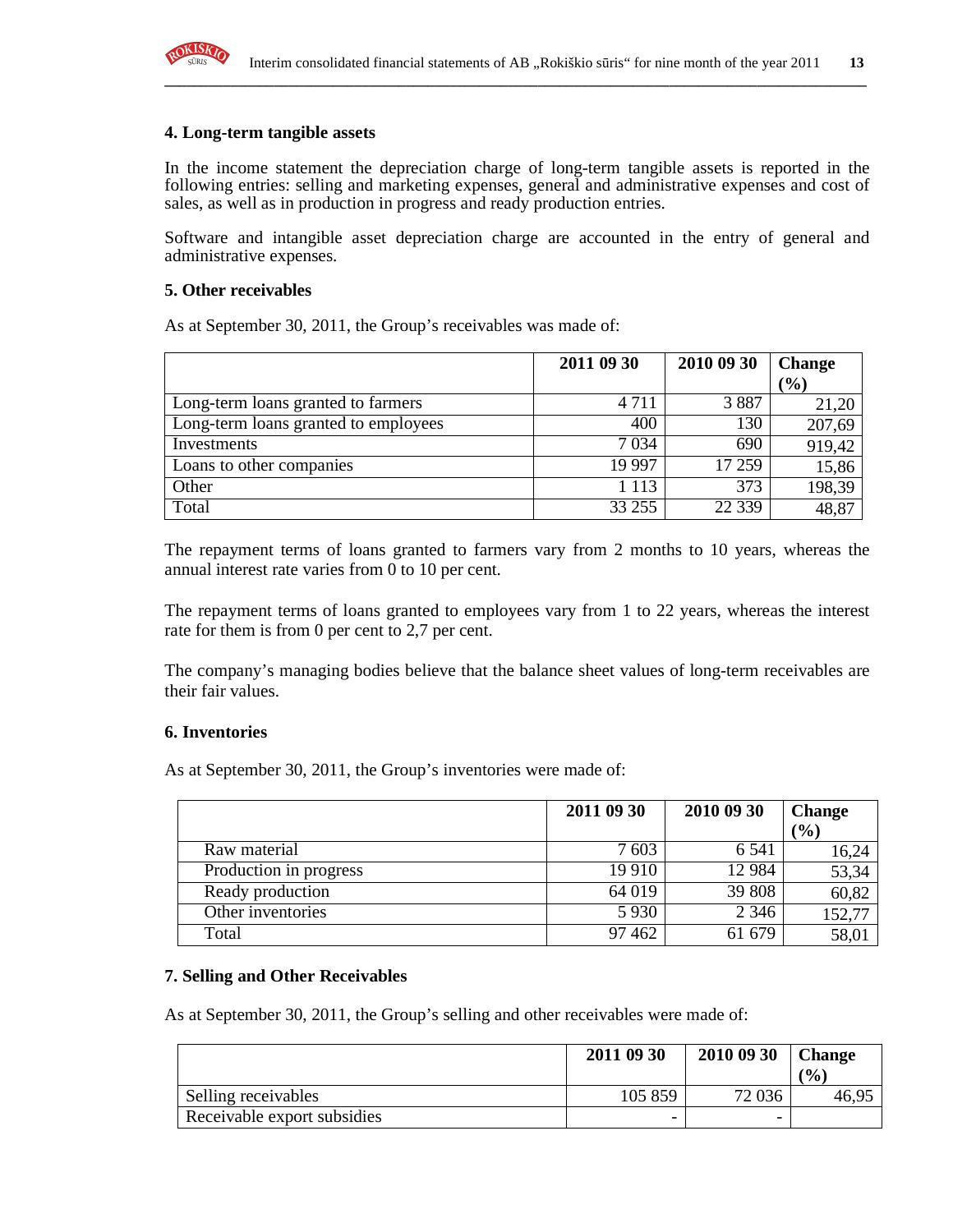

#### **4. Long-term tangible assets**

In the income statement the depreciation charge of long-term tangible assets is reported in the following entries: selling and marketing expenses, general and administrative expenses and cost of sales, as well as in production in progress and ready production entries.

**\_\_\_\_\_\_\_\_\_\_\_\_\_\_\_\_\_\_\_\_\_\_\_\_\_\_\_\_\_\_\_\_\_\_\_\_\_\_\_\_\_\_\_\_\_\_\_\_\_\_\_\_\_\_\_\_\_\_\_\_\_\_\_\_\_\_\_\_\_\_\_\_\_\_\_\_\_\_\_\_\_\_\_\_\_\_\_\_\_\_\_\_\_\_\_\_**

Software and intangible asset depreciation charge are accounted in the entry of general and administrative expenses.

#### **5. Other receivables**

As at September 30, 2011, the Group's receivables was made of:

|                                      | 2011 09 30 | 2010 09 30 | <b>Change</b> |
|--------------------------------------|------------|------------|---------------|
|                                      |            |            | (%)           |
| Long-term loans granted to farmers   | 4 7 1 1    | 3887       | 21,20         |
| Long-term loans granted to employees | 400        | 130        | 207,69        |
| Investments                          | 7 0 34     | 690        | 919,42        |
| Loans to other companies             | 19 997     | 17 259     | 15,86         |
| Other                                | 1 1 1 3    | 373        | 198,39        |
| Total                                | 33 255     | 22 3 3 9   | 48,87         |

The repayment terms of loans granted to farmers vary from 2 months to 10 years, whereas the annual interest rate varies from 0 to 10 per cent.

The repayment terms of loans granted to employees vary from 1 to 22 years, whereas the interest rate for them is from 0 per cent to 2,7 per cent.

The company's managing bodies believe that the balance sheet values of long-term receivables are their fair values.

#### **6. Inventories**

As at September 30, 2011, the Group's inventories were made of:

|                        | 2011 09 30 | 2010 09 30 | <b>Change</b> |
|------------------------|------------|------------|---------------|
|                        |            |            | (%)           |
| Raw material           | 7603       | 6 5 4 1    | 16,24         |
| Production in progress | 19 9 10    | 12 9 84    | 53,34         |
| Ready production       | 64 019     | 39 808     | 60,82         |
| Other inventories      | 5 9 3 0    | 2 3 4 6    | 152,77        |
| Total                  | 97 4 62    | 61 679     | 58,01         |

#### **7. Selling and Other Receivables**

As at September 30, 2011, the Group's selling and other receivables were made of:

|                             | 2011 09 30 | 2010 09 30 | <b>Change</b><br>(0/0) |
|-----------------------------|------------|------------|------------------------|
| Selling receivables         | 105 859    | 72 0 36    | 46.                    |
| Receivable export subsidies | -          | -          |                        |